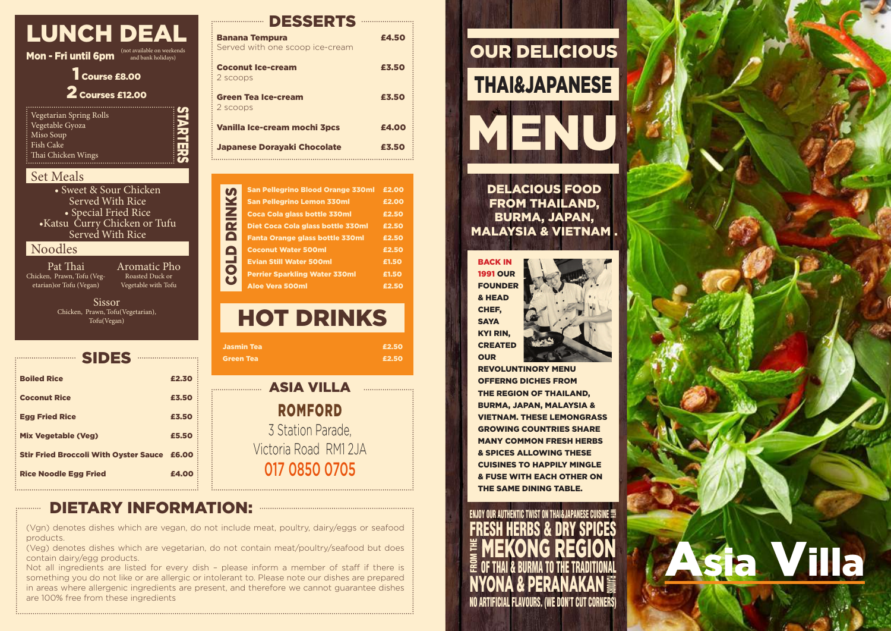| LUNCH DEAL                                   |                                                  |  |  |
|----------------------------------------------|--------------------------------------------------|--|--|
| Mon - Fri until 6pm                          | (not available on weekends<br>and bank holidays) |  |  |
| Course £8.00<br>2 Courses £12.00             |                                                  |  |  |
| Vegetarian Spring Rolls<br>: Vegetable Gyoza |                                                  |  |  |

STARTERS

| : Vegetable Gyoza       |
|-------------------------|
| $\frac{1}{2}$ Miso Soup |
| $:$ Fish Cake           |
| : Thai Chicken Wings    |
|                         |

#### Set Meals

• Sweet & Sour Chicken Served With Rice • Special Fried Rice •Katsu Curry Chicken or Tufu Served With Rice

# Noodles

Pat Thai Chicken, Prawn, Tofu (Vegetarian)or Tofu (Vegan)

> Sissor Chicken, Prawn, Tofu(Vegetarian), Tofu(Vegan)

| <b>Boiled Rice</b>                                 | £2.30 |  |
|----------------------------------------------------|-------|--|
| <b>Coconut Rice</b>                                | £3.50 |  |
| <b>Egg Fried Rice</b>                              | £3.50 |  |
| <b>Mix Vegetable (Veg)</b>                         | £5.50 |  |
| <b>Stir Fried Broccoli With Oyster Sauce £6.00</b> |       |  |
| <b>Rice Noodle Egg Fried</b>                       | £4.00 |  |

### **EXAMPLE DESSERTS**

| <b>Banana Tempura</b><br>Served with one scoop ice-cream | £4.50 |
|----------------------------------------------------------|-------|
| <b>Coconut Ice-cream</b><br>2 scoops                     | £3.50 |
| <b>Green Tea Ice-cream</b><br>2 scoops                   | £3.50 |
| Vanilla Ice-cream mochi 3pcs                             | £4.00 |
| <b>Japanese Dorayaki Chocolate</b>                       | £3.50 |

|                | <b>San Pellegrino Blood Orange 330ml</b> | £2.00 |
|----------------|------------------------------------------|-------|
|                | <b>San Pellegrino Lemon 330ml</b>        | £2.00 |
| <b>INKS</b>    | Coca Cola glass bottle 330ml             | £2.50 |
| 귵              | Diet Coca Cola glass bottle 330ml        | £2.50 |
| $\blacksquare$ | <b>Fanta Orange glass bottle 330ml</b>   | £2.50 |
| A              | <b>Coconut Water 500ml</b>               | £2.50 |
| ᆜ              | <b>Evian Still Water 500ml</b>           | £1.50 |
| Ō              | <b>Perrier Sparkling Water 330ml</b>     | £1.50 |
| U              | <b>Aloe Vera 500ml</b>                   | £2.50 |

HOT DRINKS Jasmin Tea £2.50

**Green Tea £2.50** 

| <b>EXAMPLE ASIA VILLA</b> |
|---------------------------|
| <b>ROMFORD</b>            |
| 3 Station Parade,         |
| Victoria Road RM1 2JA     |
| 017 0850 0705             |
|                           |

# **DIETARY INFORMATION:**

Aromatic Pho Roasted Duck or Vegetable with Tofu

(Vgn) denotes dishes which are vegan, do not include meat, poultry, dairy/eggs or seafood products.

(Veg) denotes dishes which are vegetarian, do not contain meat/poultry/seafood but does contain dairy/egg products.

Not all ingredients are listed for every dish – please inform a member of staff if there is something you do not like or are allergic or intolerant to. Please note our dishes are prepared in areas where allergenic ingredients are present, and therefore we cannot guarantee dishes are 100% free from these ingredients



DELACIOUS FOOD FROM THAILAND, BURMA, JAPAN, MALAYSIA & VIETNAM .

BACK IN 1991 OUR FOUNDER & HEAD CHEF, **SAYA** KYI RIN, CREATED **OUR** 



REVOLUNTINORY MENU OFFERNG DICHES FROM THE REGION OF THAILAND, BURMA, JAPAN, MALAYSIA & VIETNAM. THESE LEMONGRASS GROWING COUNTRIES SHARE MANY COMMON FRESH HERBS & SPICES ALLOWING THESE CUISINES TO HAPPILY MINGLE & FUSE WITH EACH OTHER ON THE SAME DINING TABLE.

NO ARTIFICIAL FLAVOURS. (WE DON'T CUT CORNERS) ENJOY OUR AUTHENTIC TWIST ON THAI&JAPANESE CUISINE **with** FRESH HERBS & DRY SPICES E **MEKONG REGION**<br>@ 0f thai & burma to the traditional OF THAI & BURMA TO THE TRADITIONAL NYONA & PERANAKAN FLAVOURS<br>SIG

# Asia Villa